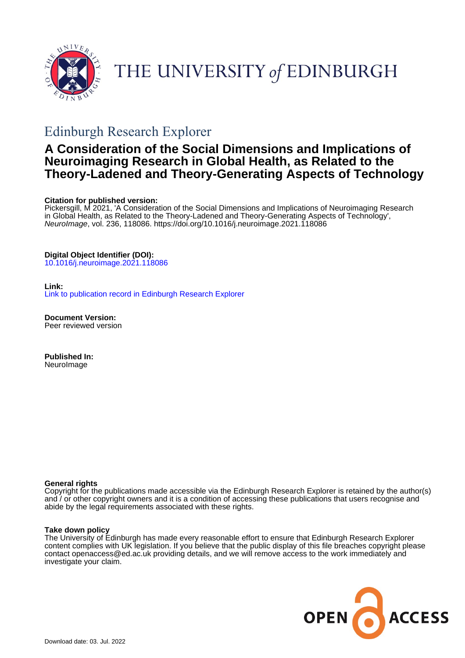

# THE UNIVERSITY of EDINBURGH

# Edinburgh Research Explorer

### **A Consideration of the Social Dimensions and Implications of Neuroimaging Research in Global Health, as Related to the Theory-Ladened and Theory-Generating Aspects of Technology**

#### **Citation for published version:**

Pickersgill, M 2021, 'A Consideration of the Social Dimensions and Implications of Neuroimaging Research in Global Health, as Related to the Theory-Ladened and Theory-Generating Aspects of Technology', NeuroImage, vol. 236, 118086.<https://doi.org/10.1016/j.neuroimage.2021.118086>

#### **Digital Object Identifier (DOI):**

[10.1016/j.neuroimage.2021.118086](https://doi.org/10.1016/j.neuroimage.2021.118086)

#### **Link:**

[Link to publication record in Edinburgh Research Explorer](https://www.research.ed.ac.uk/en/publications/067f3549-f7ce-46f3-8a9e-db7ebb568f20)

**Document Version:** Peer reviewed version

**Published In:** NeuroImage

#### **General rights**

Copyright for the publications made accessible via the Edinburgh Research Explorer is retained by the author(s) and / or other copyright owners and it is a condition of accessing these publications that users recognise and abide by the legal requirements associated with these rights.

#### **Take down policy**

The University of Edinburgh has made every reasonable effort to ensure that Edinburgh Research Explorer content complies with UK legislation. If you believe that the public display of this file breaches copyright please contact openaccess@ed.ac.uk providing details, and we will remove access to the work immediately and investigate your claim.

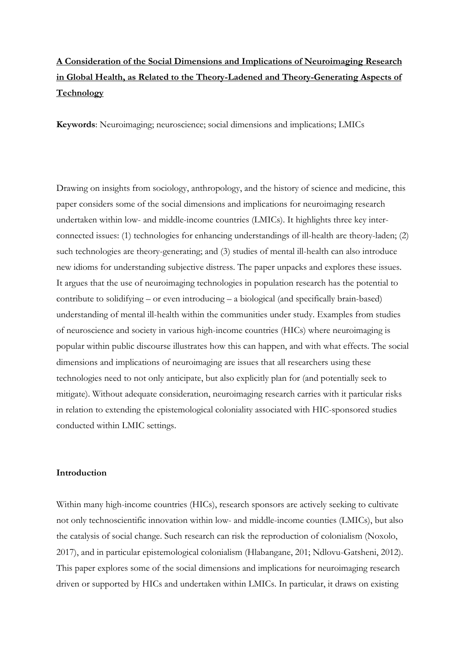## **A Consideration of the Social Dimensions and Implications of Neuroimaging Research in Global Health, as Related to the Theory-Ladened and Theory-Generating Aspects of Technology**

**Keywords**: Neuroimaging; neuroscience; social dimensions and implications; LMICs

Drawing on insights from sociology, anthropology, and the history of science and medicine, this paper considers some of the social dimensions and implications for neuroimaging research undertaken within low- and middle-income countries (LMICs). It highlights three key interconnected issues: (1) technologies for enhancing understandings of ill-health are theory-laden; (2) such technologies are theory-generating; and (3) studies of mental ill-health can also introduce new idioms for understanding subjective distress. The paper unpacks and explores these issues. It argues that the use of neuroimaging technologies in population research has the potential to contribute to solidifying – or even introducing – a biological (and specifically brain-based) understanding of mental ill-health within the communities under study. Examples from studies of neuroscience and society in various high-income countries (HICs) where neuroimaging is popular within public discourse illustrates how this can happen, and with what effects. The social dimensions and implications of neuroimaging are issues that all researchers using these technologies need to not only anticipate, but also explicitly plan for (and potentially seek to mitigate). Without adequate consideration, neuroimaging research carries with it particular risks in relation to extending the epistemological coloniality associated with HIC-sponsored studies conducted within LMIC settings.

#### **Introduction**

Within many high-income countries (HICs), research sponsors are actively seeking to cultivate not only technoscientific innovation within low- and middle-income counties (LMICs), but also the catalysis of social change. Such research can risk the reproduction of colonialism (Noxolo, 2017), and in particular epistemological colonialism (Hlabangane, 201; Ndlovu-Gatsheni, 2012). This paper explores some of the social dimensions and implications for neuroimaging research driven or supported by HICs and undertaken within LMICs. In particular, it draws on existing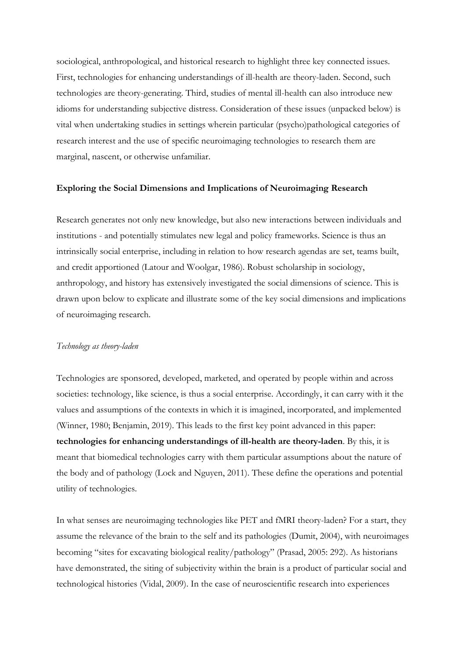sociological, anthropological, and historical research to highlight three key connected issues. First, technologies for enhancing understandings of ill-health are theory-laden. Second, such technologies are theory-generating. Third, studies of mental ill-health can also introduce new idioms for understanding subjective distress. Consideration of these issues (unpacked below) is vital when undertaking studies in settings wherein particular (psycho)pathological categories of research interest and the use of specific neuroimaging technologies to research them are marginal, nascent, or otherwise unfamiliar.

#### **Exploring the Social Dimensions and Implications of Neuroimaging Research**

Research generates not only new knowledge, but also new interactions between individuals and institutions - and potentially stimulates new legal and policy frameworks. Science is thus an intrinsically social enterprise, including in relation to how research agendas are set, teams built, and credit apportioned (Latour and Woolgar, 1986). Robust scholarship in sociology, anthropology, and history has extensively investigated the social dimensions of science. This is drawn upon below to explicate and illustrate some of the key social dimensions and implications of neuroimaging research.

#### *Technology as theory-laden*

Technologies are sponsored, developed, marketed, and operated by people within and across societies: technology, like science, is thus a social enterprise. Accordingly, it can carry with it the values and assumptions of the contexts in which it is imagined, incorporated, and implemented (Winner, 1980; Benjamin, 2019). This leads to the first key point advanced in this paper: **technologies for enhancing understandings of ill-health are theory-laden**. By this, it is meant that biomedical technologies carry with them particular assumptions about the nature of the body and of pathology (Lock and Nguyen, 2011). These define the operations and potential utility of technologies.

In what senses are neuroimaging technologies like PET and fMRI theory-laden? For a start, they assume the relevance of the brain to the self and its pathologies (Dumit, 2004), with neuroimages becoming "sites for excavating biological reality/pathology" (Prasad, 2005: 292). As historians have demonstrated, the siting of subjectivity within the brain is a product of particular social and technological histories (Vidal, 2009). In the case of neuroscientific research into experiences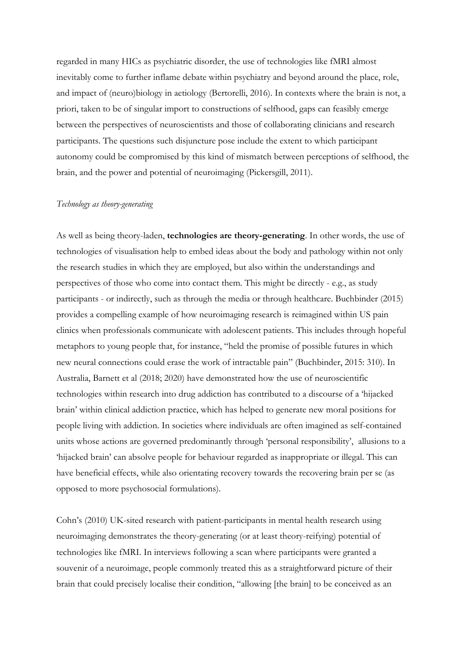regarded in many HICs as psychiatric disorder, the use of technologies like fMRI almost inevitably come to further inflame debate within psychiatry and beyond around the place, role, and impact of (neuro)biology in aetiology (Bertorelli, 2016). In contexts where the brain is not, a priori, taken to be of singular import to constructions of selfhood, gaps can feasibly emerge between the perspectives of neuroscientists and those of collaborating clinicians and research participants. The questions such disjuncture pose include the extent to which participant autonomy could be compromised by this kind of mismatch between perceptions of selfhood, the brain, and the power and potential of neuroimaging (Pickersgill, 2011).

#### *Technology as theory-generating*

As well as being theory-laden, **technologies are theory-generating**. In other words, the use of technologies of visualisation help to embed ideas about the body and pathology within not only the research studies in which they are employed, but also within the understandings and perspectives of those who come into contact them. This might be directly - e.g., as study participants - or indirectly, such as through the media or through healthcare. Buchbinder (2015) provides a compelling example of how neuroimaging research is reimagined within US pain clinics when professionals communicate with adolescent patients. This includes through hopeful metaphors to young people that, for instance, "held the promise of possible futures in which new neural connections could erase the work of intractable pain" (Buchbinder, 2015: 310). In Australia, Barnett et al (2018; 2020) have demonstrated how the use of neuroscientific technologies within research into drug addiction has contributed to a discourse of a 'hijacked brain' within clinical addiction practice, which has helped to generate new moral positions for people living with addiction. In societies where individuals are often imagined as self-contained units whose actions are governed predominantly through 'personal responsibility', allusions to a 'hijacked brain' can absolve people for behaviour regarded as inappropriate or illegal. This can have beneficial effects, while also orientating recovery towards the recovering brain per se (as opposed to more psychosocial formulations).

Cohn's (2010) UK-sited research with patient-participants in mental health research using neuroimaging demonstrates the theory-generating (or at least theory-reifying) potential of technologies like fMRI. In interviews following a scan where participants were granted a souvenir of a neuroimage, people commonly treated this as a straightforward picture of their brain that could precisely localise their condition, "allowing [the brain] to be conceived as an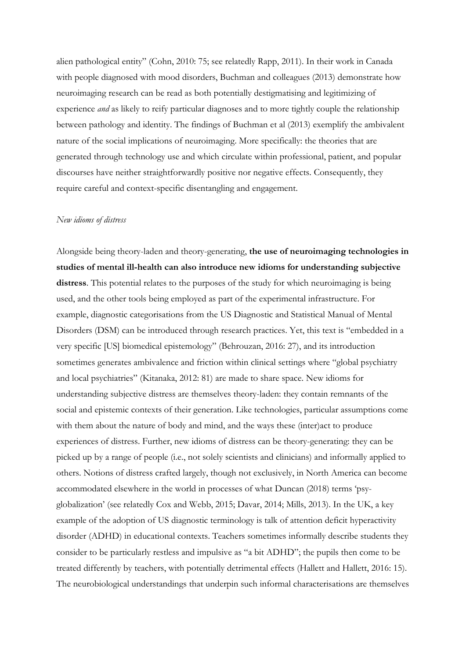alien pathological entity" (Cohn, 2010: 75; see relatedly Rapp, 2011). In their work in Canada with people diagnosed with mood disorders, Buchman and colleagues (2013) demonstrate how neuroimaging research can be read as both potentially destigmatising and legitimizing of experience *and* as likely to reify particular diagnoses and to more tightly couple the relationship between pathology and identity. The findings of Buchman et al (2013) exemplify the ambivalent nature of the social implications of neuroimaging. More specifically: the theories that are generated through technology use and which circulate within professional, patient, and popular discourses have neither straightforwardly positive nor negative effects. Consequently, they require careful and context-specific disentangling and engagement.

#### *New idioms of distress*

Alongside being theory-laden and theory-generating, **the use of neuroimaging technologies in studies of mental ill-health can also introduce new idioms for understanding subjective distress**. This potential relates to the purposes of the study for which neuroimaging is being used, and the other tools being employed as part of the experimental infrastructure. For example, diagnostic categorisations from the US Diagnostic and Statistical Manual of Mental Disorders (DSM) can be introduced through research practices. Yet, this text is "embedded in a very specific [US] biomedical epistemology" (Behrouzan, 2016: 27), and its introduction sometimes generates ambivalence and friction within clinical settings where "global psychiatry and local psychiatries" (Kitanaka, 2012: 81) are made to share space. New idioms for understanding subjective distress are themselves theory-laden: they contain remnants of the social and epistemic contexts of their generation. Like technologies, particular assumptions come with them about the nature of body and mind, and the ways these (inter)act to produce experiences of distress. Further, new idioms of distress can be theory-generating: they can be picked up by a range of people (i.e., not solely scientists and clinicians) and informally applied to others. Notions of distress crafted largely, though not exclusively, in North America can become accommodated elsewhere in the world in processes of what Duncan (2018) terms 'psyglobalization' (see relatedly Cox and Webb, 2015; Davar, 2014; Mills, 2013). In the UK, a key example of the adoption of US diagnostic terminology is talk of attention deficit hyperactivity disorder (ADHD) in educational contexts. Teachers sometimes informally describe students they consider to be particularly restless and impulsive as "a bit ADHD"; the pupils then come to be treated differently by teachers, with potentially detrimental effects (Hallett and Hallett, 2016: 15). The neurobiological understandings that underpin such informal characterisations are themselves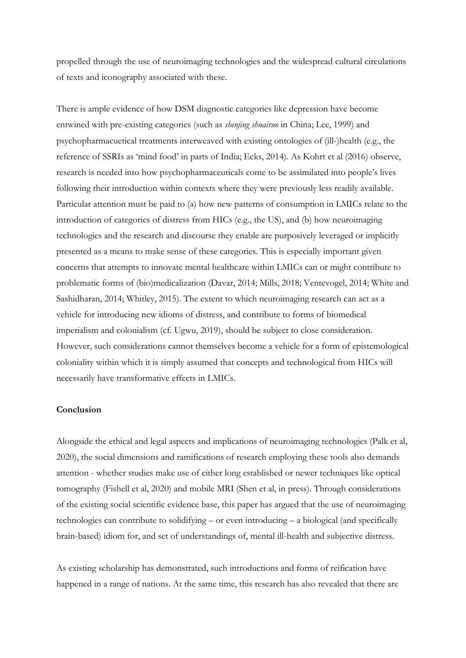propelled through the use of neuroimaging technologies and the widespread cultural circulations of texts and iconography associated with these.

There is ample evidence of how DSM diagnostic categories like depression have become entwined with pre-existing categories (such as *shenjing shuairuo* in China; Lee, 1999) and psychopharmacuetical treatments interweaved with existing ontologies of (ill-)health (e.g., the reference of SSRIs as 'mind food' in parts of India; Ecks, 2014). As Kohrt et al (2016) observe, research is needed into how psychopharmaceuticals come to be assimilated into people's lives following their introduction within contexts where they were previously less readily available. Particular attention must be paid to (a) how new patterns of consumption in LMICs relate to the introduction of categories of distress from HICs (e.g., the US), and (b) how neuroimaging technologies and the research and discourse they enable are purposively leveraged or implicitly presented as a means to make sense of these categories. This is especially important given concerns that attempts to innovate mental healthcare within LMICs can or might contribute to problematic forms of (bio)medicalization (Davar, 2014; Mills, 2018; Ventevogel, 2014; White and Sashidharan, 2014; Whitley, 2015). The extent to which neuroimaging research can act as a vehicle for introducing new idioms of distress, and contribute to forms of biomedical imperialism and colonialism (cf. Ugwu, 2019), should be subject to close consideration. However, such considerations cannot themselves become a vehicle for a form of epistemological coloniality within which it is simply assumed that concepts and technological from HICs will necessarily have transformative effects in LMICs.

#### **Conclusion**

Alongside the ethical and legal aspects and implications of neuroimaging technologies (Palk et al, 2020), the social dimensions and ramifications of research employing these tools also demands attention - whether studies make use of either long established or newer techniques like optical tomography (Fishell et al, 2020) and mobile MRI (Shen et al, in press). Through considerations of the existing social scientific evidence base, this paper has argued that the use of neuroimaging technologies can contribute to solidifying – or even introducing – a biological (and specifically brain-based) idiom for, and set of understandings of, mental ill-health and subjective distress.

As existing scholarship has demonstrated, such introductions and forms of reification have happened in a range of nations. At the same time, this research has also revealed that there are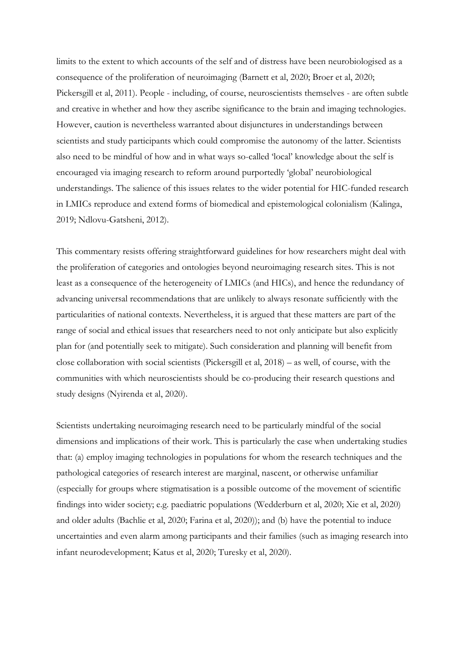limits to the extent to which accounts of the self and of distress have been neurobiologised as a consequence of the proliferation of neuroimaging (Barnett et al, 2020; Broer et al, 2020; Pickersgill et al, 2011). People - including, of course, neuroscientists themselves - are often subtle and creative in whether and how they ascribe significance to the brain and imaging technologies. However, caution is nevertheless warranted about disjunctures in understandings between scientists and study participants which could compromise the autonomy of the latter. Scientists also need to be mindful of how and in what ways so-called 'local' knowledge about the self is encouraged via imaging research to reform around purportedly 'global' neurobiological understandings. The salience of this issues relates to the wider potential for HIC-funded research in LMICs reproduce and extend forms of biomedical and epistemological colonialism (Kalinga, 2019; Ndlovu-Gatsheni, 2012).

This commentary resists offering straightforward guidelines for how researchers might deal with the proliferation of categories and ontologies beyond neuroimaging research sites. This is not least as a consequence of the heterogeneity of LMICs (and HICs), and hence the redundancy of advancing universal recommendations that are unlikely to always resonate sufficiently with the particularities of national contexts. Nevertheless, it is argued that these matters are part of the range of social and ethical issues that researchers need to not only anticipate but also explicitly plan for (and potentially seek to mitigate). Such consideration and planning will benefit from close collaboration with social scientists (Pickersgill et al, 2018) – as well, of course, with the communities with which neuroscientists should be co-producing their research questions and study designs (Nyirenda et al, 2020).

Scientists undertaking neuroimaging research need to be particularly mindful of the social dimensions and implications of their work. This is particularly the case when undertaking studies that: (a) employ imaging technologies in populations for whom the research techniques and the pathological categories of research interest are marginal, nascent, or otherwise unfamiliar (especially for groups where stigmatisation is a possible outcome of the movement of scientific findings into wider society; e.g. paediatric populations (Wedderburn et al, 2020; Xie et al, 2020) and older adults (Bachlie et al, 2020; Farina et al, 2020)); and (b) have the potential to induce uncertainties and even alarm among participants and their families (such as imaging research into infant neurodevelopment; Katus et al, 2020; Turesky et al, 2020).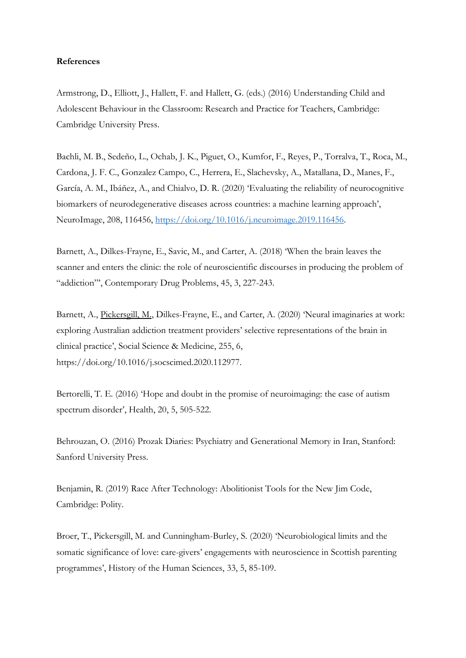#### **References**

Armstrong, D., Elliott, J., Hallett, F. and Hallett, G. (eds.) (2016) Understanding Child and Adolescent Behaviour in the Classroom: Research and Practice for Teachers, Cambridge: Cambridge University Press.

Bachli, M. B., Sedeño, L., Ochab, J. K., Piguet, O., Kumfor, F., Reyes, P., Torralva, T., Roca, M., Cardona, J. F. C., Gonzalez Campo, C., Herrera, E., Slachevsky, A., Matallana, D., Manes, F., García, A. M., Ibáñez, A., and Chialvo, D. R. (2020) 'Evaluating the reliability of neurocognitive biomarkers of neurodegenerative diseases across countries: a machine learning approach', NeuroImage, 208, 116456, [https://doi.org/10.1016/j.neuroimage.2019.116456.](https://doi.org/10.1016/j.neuroimage.2019.116456)

Barnett, A., Dilkes-Frayne, E., Savic, M., and Carter, A. (2018) 'When the brain leaves the scanner and enters the clinic: the role of neuroscientific discourses in producing the problem of "addiction"', Contemporary Drug Problems, 45, 3, 227-243.

Barnett, A., Pickersgill, M., Dilkes-Frayne, E., and Carter, A. (2020) 'Neural imaginaries at work: exploring Australian addiction treatment providers' selective representations of the brain in clinical practice', Social Science & Medicine, 255, 6, https://doi.org/10.1016/j.socscimed.2020.112977.

Bertorelli, T. E. (2016) 'Hope and doubt in the promise of neuroimaging: the case of autism spectrum disorder', Health, 20, 5, 505-522.

Behrouzan, O. (2016) Prozak Diaries: Psychiatry and Generational Memory in Iran, Stanford: Sanford University Press.

Benjamin, R. (2019) Race After Technology: Abolitionist Tools for the New Jim Code, Cambridge: Polity.

Broer, T., Pickersgill, M. and Cunningham-Burley, S. (2020) 'Neurobiological limits and the somatic significance of love: care-givers' engagements with neuroscience in Scottish parenting programmes', History of the Human Sciences, 33, 5, 85-109.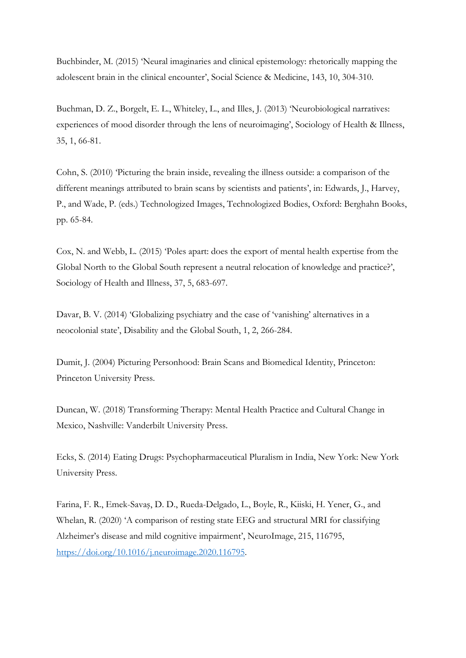Buchbinder, M. (2015) 'Neural imaginaries and clinical epistemology: rhetorically mapping the adolescent brain in the clinical encounter', Social Science & Medicine, 143, 10, 304-310.

Buchman, D. Z., Borgelt, E. L., Whiteley, L., and Illes, J. (2013) 'Neurobiological narratives: experiences of mood disorder through the lens of neuroimaging', Sociology of Health & Illness, 35, 1, 66-81.

Cohn, S. (2010) 'Picturing the brain inside, revealing the illness outside: a comparison of the different meanings attributed to brain scans by scientists and patients', in: Edwards, J., Harvey, P., and Wade, P. (eds.) Technologized Images, Technologized Bodies, Oxford: Berghahn Books, pp. 65-84.

Cox, N. and Webb, L. (2015) 'Poles apart: does the export of mental health expertise from the Global North to the Global South represent a neutral relocation of knowledge and practice?', Sociology of Health and Illness, 37, 5, 683-697.

Davar, B. V. (2014) 'Globalizing psychiatry and the case of 'vanishing' alternatives in a neocolonial state', Disability and the Global South, 1, 2, 266-284.

Dumit, J. (2004) Picturing Personhood: Brain Scans and Biomedical Identity, Princeton: Princeton University Press.

Duncan, W. (2018) Transforming Therapy: Mental Health Practice and Cultural Change in Mexico, Nashville: Vanderbilt University Press.

Ecks, S. (2014) Eating Drugs: Psychopharmaceutical Pluralism in India, New York: New York University Press.

Farina, F. R., Emek-Savaş, D. D., Rueda-Delgado, L., Boyle, R., Kiiski, H. Yener, G., and Whelan, R. (2020) 'A comparison of resting state EEG and structural MRI for classifying Alzheimer's disease and mild cognitive impairment', NeuroImage, 215, 116795, [https://doi.org/10.1016/j.neuroimage.2020.116795.](https://doi.org/10.1016/j.neuroimage.2020.116795)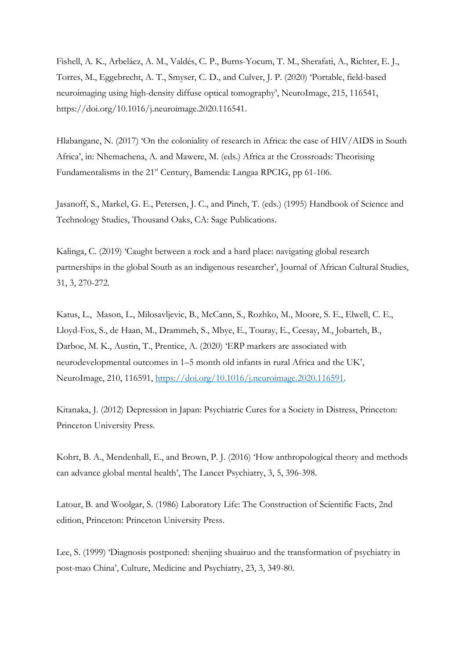Fishell, A. K., Arbeláez, A. M., Valdés, C. P., Burns-Yocum, T. M., Sherafati, A., Richter, E. J., Torres, M., Eggebrecht, A. T., Smyser, C. D., and Culver, J. P. (2020) 'Portable, field-based neuroimaging using high-density diffuse optical tomography', NeuroImage, 215, 116541, https://doi.org/10.1016/j.neuroimage.2020.116541.

Hlabangane, N. (2017) 'On the coloniality of research in Africa: the case of HIV/AIDS in South Africa', in: Nhemachena, A. and Mawere, M. (eds.) Africa at the Crossroads: Theorising Fundamentalisms in the 21st Century, Bamenda: Langaa RPCIG, pp 61-106.

Jasanoff, S., Markel, G. E., Petersen, J. C., and Pinch, T. (eds.) (1995) Handbook of Science and Technology Studies, Thousand Oaks, CA: Sage Publications.

Kalinga, C. (2019) 'Caught between a rock and a hard place: navigating global research partnerships in the global South as an indigenous researcher', Journal of African Cultural Studies, 31, 3, 270-272.

Katus, L., Mason, L., Milosavljevic, B., McCann, S., Rozhko, M., Moore, S. E., Elwell, C. E., Lloyd-Fox, S., de Haan, M., Drammeh, S., Mbye, E., Touray, E., Ceesay, M., Jobarteh, B., Darboe, M. K., Austin, T., Prentice, A. (2020) 'ERP markers are associated with neurodevelopmental outcomes in 1–5 month old infants in rural Africa and the UK', NeuroImage, 210, 116591, [https://doi.org/10.1016/j.neuroimage.2020.116591.](https://doi.org/10.1016/j.neuroimage.2020.116591)

Kitanaka, J. (2012) Depression in Japan: Psychiatric Cures for a Society in Distress, Princeton: Princeton University Press.

Kohrt, B. A., Mendenhall, E., and Brown, P. J. (2016) 'How anthropological theory and methods can advance global mental health', The Lancet Psychiatry, 3, 5, 396-398.

Latour, B. and Woolgar, S. (1986) Laboratory Life: The Construction of Scientific Facts, 2nd edition, Princeton: Princeton University Press.

Lee, S. (1999) 'Diagnosis postponed: shenjing shuairuo and the transformation of psychiatry in post-mao China', Culture, Medicine and Psychiatry, 23, 3, 349-80.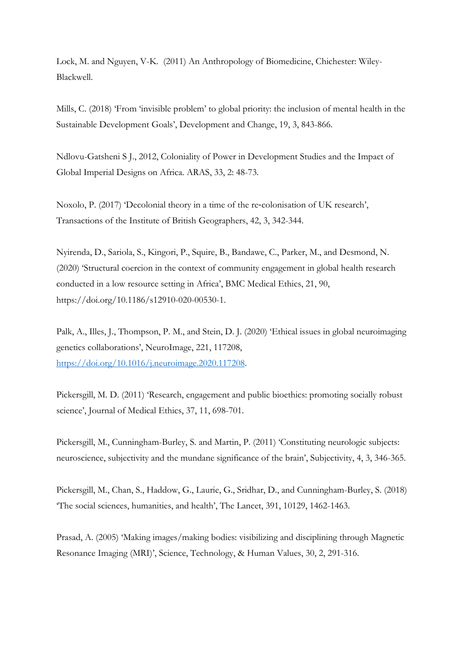Lock, M. and Nguyen, V-K. (2011) An Anthropology of Biomedicine, Chichester: Wiley-Blackwell.

Mills, C. (2018) 'From 'invisible problem' to global priority: the inclusion of mental health in the Sustainable Development Goals', Development and Change, 19, 3, 843-866.

Ndlovu-Gatsheni S J., 2012, Coloniality of Power in Development Studies and the Impact of Global Imperial Designs on Africa. ARAS, 33, 2: 48-73.

Noxolo, P. (2017) 'Decolonial theory in a time of the re-colonisation of UK research', Transactions of the Institute of British Geographers, 42, 3, 342-344.

Nyirenda, D., Sariola, S., Kingori, P., Squire, B., Bandawe, C., Parker, M., and Desmond, N. (2020) 'Structural coercion in the context of community engagement in global health research conducted in a low resource setting in Africa', BMC Medical Ethics, 21, 90, https://doi.org/10.1186/s12910-020-00530-1.

Palk, A., Illes, J., Thompson, P. M., and Stein, D. J. (2020) 'Ethical issues in global neuroimaging genetics collaborations', NeuroImage, 221, 117208, [https://doi.org/10.1016/j.neuroimage.2020.117208.](https://doi.org/10.1016/j.neuroimage.2020.117208)

Pickersgill, M. D. (2011) 'Research, engagement and public bioethics: promoting socially robust science', Journal of Medical Ethics, 37, 11, 698-701.

Pickersgill, M., Cunningham-Burley, S. and Martin, P. (2011) 'Constituting neurologic subjects: neuroscience, subjectivity and the mundane significance of the brain', Subjectivity, 4, 3, 346-365.

Pickersgill, M., Chan, S., Haddow, G., Laurie, G., Sridhar, D., and Cunningham-Burley, S. (2018) 'The social sciences, humanities, and health', The Lancet, 391, 10129, 1462-1463.

Prasad, A. (2005) 'Making images/making bodies: visibilizing and disciplining through Magnetic Resonance Imaging (MRI)', Science, Technology, & Human Values, 30, 2, 291-316.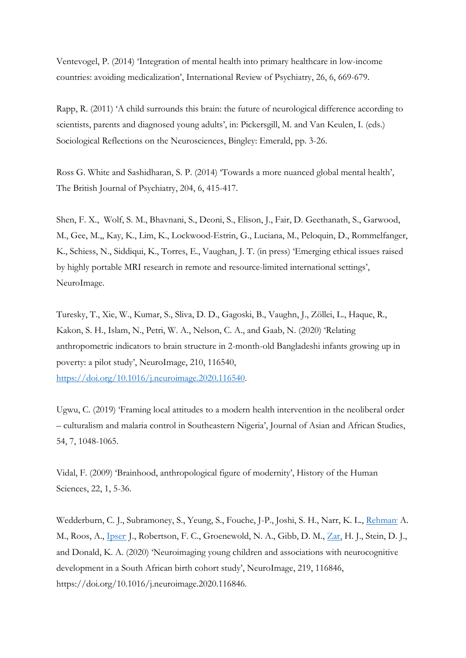Ventevogel, P. (2014) 'Integration of mental health into primary healthcare in low-income countries: avoiding medicalization', International Review of Psychiatry, 26, 6, 669-679.

Rapp, R. (2011) 'A child surrounds this brain: the future of neurological difference according to scientists, parents and diagnosed young adults', in: Pickersgill, M. and Van Keulen, I. (eds.) Sociological Reflections on the Neurosciences, Bingley: Emerald, pp. 3-26.

Ross G. White and Sashidharan, S. P. (2014) 'Towards a more nuanced global mental health', The British Journal of Psychiatry, 204, 6, 415-417.

Shen, F. X., Wolf, S. M., Bhavnani, S., Deoni, S., Elison, J., Fair, D. Geethanath, S., Garwood, M., Gee, M.,, Kay, K., Lim, K., Lockwood-Estrin, G., Luciana, M., Peloquin, D., Rommelfanger, K., Schiess, N., Siddiqui, K., Torres, E., Vaughan, J. T. (in press) 'Emerging ethical issues raised by highly portable MRI research in remote and resource-limited international settings', NeuroImage.

Turesky, T., Xie, W., Kumar, S., Sliva, D. D., Gagoski, B., Vaughn, J., Zöllei, L., Haque, R., Kakon, S. H., Islam, N., Petri, W. A., Nelson, C. A., and Gaab, N. (2020) 'Relating anthropometric indicators to brain structure in 2-month-old Bangladeshi infants growing up in poverty: a pilot study', NeuroImage, 210, 116540,

[https://doi.org/10.1016/j.neuroimage.2020.116540.](https://doi.org/10.1016/j.neuroimage.2020.116540)

Ugwu, C. (2019) 'Framing local attitudes to a modern health intervention in the neoliberal order – culturalism and malaria control in Southeastern Nigeria', Journal of Asian and African Studies, 54, 7, 1048-1065.

Vidal, F. (2009) 'Brainhood, anthropological figure of modernity', History of the Human Sciences, 22, 1, 5-36.

Wedderburn, C. J., Subramoney, S., Yeung, S., Fouche, J-P., Joshi, S. H., Narr, K. L., [Rehman](https://www.sciencedirect.com/science/article/pii/S1053811920303335#!) A. M., Roos, A., [Ipser](https://www.sciencedirect.com/science/article/pii/S1053811920303335#!) J., Robertson, F. C., Groenewold, N. A., Gibb, D. M., [Zar,](https://www.sciencedirect.com/science/article/pii/S1053811920303335#!) H. J., Stein, D. J., and Donald, K. A. (2020) 'Neuroimaging young children and associations with neurocognitive development in a South African birth cohort study', NeuroImage, 219, 116846, https://doi.org/10.1016/j.neuroimage.2020.116846.